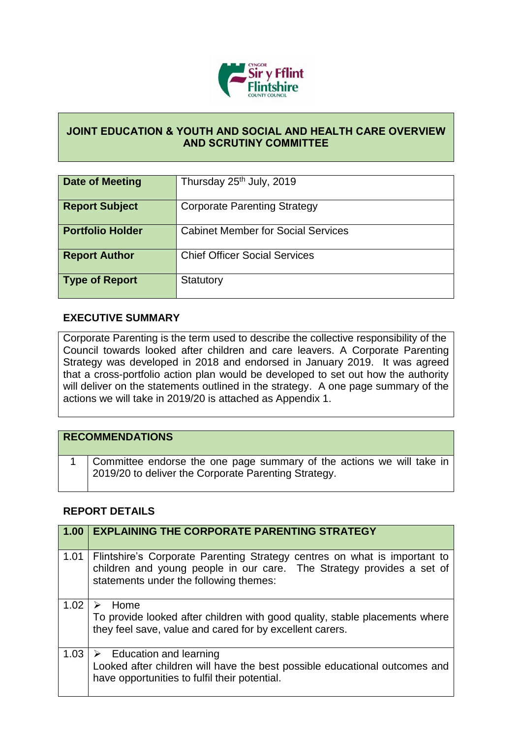

## **JOINT EDUCATION & YOUTH AND SOCIAL AND HEALTH CARE OVERVIEW AND SCRUTINY COMMITTEE**

| <b>Date of Meeting</b>  | Thursday 25 <sup>th</sup> July, 2019      |
|-------------------------|-------------------------------------------|
| <b>Report Subject</b>   | <b>Corporate Parenting Strategy</b>       |
| <b>Portfolio Holder</b> | <b>Cabinet Member for Social Services</b> |
| <b>Report Author</b>    | <b>Chief Officer Social Services</b>      |
| <b>Type of Report</b>   | Statutory                                 |

## **EXECUTIVE SUMMARY**

Corporate Parenting is the term used to describe the collective responsibility of the Council towards looked after children and care leavers. A Corporate Parenting Strategy was developed in 2018 and endorsed in January 2019. It was agreed that a cross-portfolio action plan would be developed to set out how the authority will deliver on the statements outlined in the strategy. A one page summary of the actions we will take in 2019/20 is attached as Appendix 1.

|  | <b>RECOMMENDATIONS</b>                                                                                                            |
|--|-----------------------------------------------------------------------------------------------------------------------------------|
|  | 1   Committee endorse the one page summary of the actions we will take in<br>2019/20 to deliver the Corporate Parenting Strategy. |

## **REPORT DETAILS**

| 1.00 | <b>EXPLAINING THE CORPORATE PARENTING STRATEGY</b>                                                                                                                                           |
|------|----------------------------------------------------------------------------------------------------------------------------------------------------------------------------------------------|
| 1.01 | Flintshire's Corporate Parenting Strategy centres on what is important to<br>children and young people in our care. The Strategy provides a set of<br>statements under the following themes: |
| 1.02 | Home<br>$\triangleright$<br>To provide looked after children with good quality, stable placements where<br>they feel save, value and cared for by excellent carers.                          |
|      | 1.03 $\triangleright$ Education and learning<br>Looked after children will have the best possible educational outcomes and<br>have opportunities to fulfil their potential.                  |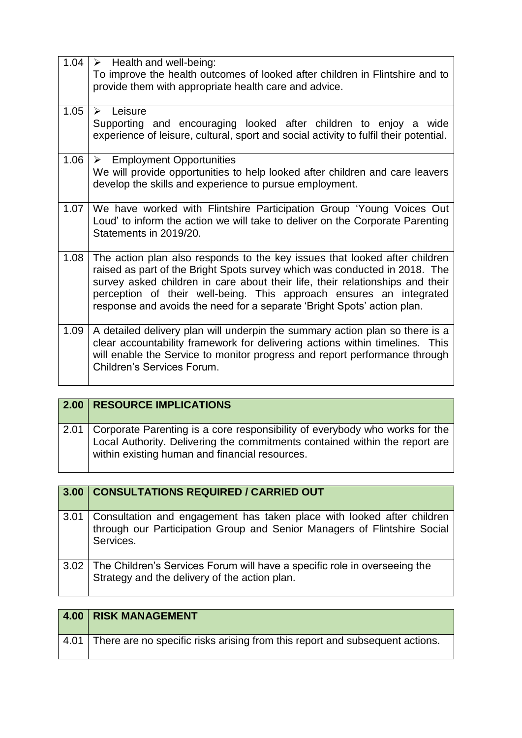|      | $1.04$ $\triangleright$ Health and well-being:<br>To improve the health outcomes of looked after children in Flintshire and to<br>provide them with appropriate health care and advice.                                                                                                                                                                                                     |
|------|---------------------------------------------------------------------------------------------------------------------------------------------------------------------------------------------------------------------------------------------------------------------------------------------------------------------------------------------------------------------------------------------|
| 1.05 | $\triangleright$ Leisure<br>Supporting and encouraging looked after children to enjoy a wide<br>experience of leisure, cultural, sport and social activity to fulfil their potential.                                                                                                                                                                                                       |
| 1.06 | $\triangleright$ Employment Opportunities<br>We will provide opportunities to help looked after children and care leavers<br>develop the skills and experience to pursue employment.                                                                                                                                                                                                        |
| 1.07 | We have worked with Flintshire Participation Group 'Young Voices Out<br>Loud' to inform the action we will take to deliver on the Corporate Parenting<br>Statements in 2019/20.                                                                                                                                                                                                             |
| 1.08 | The action plan also responds to the key issues that looked after children<br>raised as part of the Bright Spots survey which was conducted in 2018. The<br>survey asked children in care about their life, their relationships and their<br>perception of their well-being. This approach ensures an integrated<br>response and avoids the need for a separate 'Bright Spots' action plan. |
| 1.09 | A detailed delivery plan will underpin the summary action plan so there is a<br>clear accountability framework for delivering actions within timelines. This<br>will enable the Service to monitor progress and report performance through<br>Children's Services Forum.                                                                                                                    |

| 2.00 RESOURCE IMPLICATIONS                                                                                                                                                                                          |
|---------------------------------------------------------------------------------------------------------------------------------------------------------------------------------------------------------------------|
| 2.01   Corporate Parenting is a core responsibility of everybody who works for the<br>Local Authority. Delivering the commitments contained within the report are<br>within existing human and financial resources. |

| 3.00 | <b>CONSULTATIONS REQUIRED / CARRIED OUT</b>                                                                                                                     |
|------|-----------------------------------------------------------------------------------------------------------------------------------------------------------------|
| 3.01 | Consultation and engagement has taken place with looked after children<br>through our Participation Group and Senior Managers of Flintshire Social<br>Services. |
|      | 3.02   The Children's Services Forum will have a specific role in overseeing the<br>Strategy and the delivery of the action plan.                               |

| 4.00   RISK MANAGEMENT                                                                          |
|-------------------------------------------------------------------------------------------------|
| $\mid$ 4.01 $\mid$ There are no specific risks arising from this report and subsequent actions. |